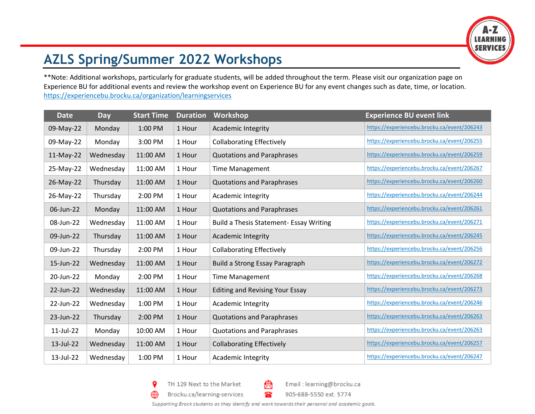

## **AZLS Spring/Summer 2022 Workshops**

\*\*Note: Additional workshops, particularly for graduate students, will be added throughout the term. Please visit our organization page on Experience BU for additional events and review the workshop event on Experience BU for any event changes such as date, time, or location. <https://experiencebu.brocku.ca/organization/learningservices>

| <b>Date</b> | <b>Day</b> | <b>Start Time</b> | <b>Duration</b> | Workshop                                | <b>Experience BU event link</b>             |
|-------------|------------|-------------------|-----------------|-----------------------------------------|---------------------------------------------|
| 09-May-22   | Monday     | 1:00 PM           | 1 Hour          | <b>Academic Integrity</b>               | https://experiencebu.brocku.ca/event/206243 |
| 09-May-22   | Monday     | 3:00 PM           | 1 Hour          | <b>Collaborating Effectively</b>        | https://experiencebu.brocku.ca/event/206255 |
| 11-May-22   | Wednesday  | 11:00 AM          | 1 Hour          | <b>Quotations and Paraphrases</b>       | https://experiencebu.brocku.ca/event/206259 |
| 25-May-22   | Wednesday  | 11:00 AM          | 1 Hour          | <b>Time Management</b>                  | https://experiencebu.brocku.ca/event/206267 |
| 26-May-22   | Thursday   | 11:00 AM          | 1 Hour          | <b>Quotations and Paraphrases</b>       | https://experiencebu.brocku.ca/event/206260 |
| 26-May-22   | Thursday   | 2:00 PM           | 1 Hour          | Academic Integrity                      | https://experiencebu.brocku.ca/event/206244 |
| 06-Jun-22   | Monday     | 11:00 AM          | 1 Hour          | <b>Quotations and Paraphrases</b>       | https://experiencebu.brocku.ca/event/206261 |
| 08-Jun-22   | Wednesday  | 11:00 AM          | 1 Hour          | Build a Thesis Statement- Essay Writing | https://experiencebu.brocku.ca/event/206271 |
| 09-Jun-22   | Thursday   | 11:00 AM          | 1 Hour          | Academic Integrity                      | https://experiencebu.brocku.ca/event/206245 |
| 09-Jun-22   | Thursday   | 2:00 PM           | 1 Hour          | <b>Collaborating Effectively</b>        | https://experiencebu.brocku.ca/event/206256 |
| 15-Jun-22   | Wednesday  | 11:00 AM          | 1 Hour          | <b>Build a Strong Essay Paragraph</b>   | https://experiencebu.brocku.ca/event/206272 |
| 20-Jun-22   | Monday     | 2:00 PM           | 1 Hour          | <b>Time Management</b>                  | https://experiencebu.brocku.ca/event/206268 |
| 22-Jun-22   | Wednesday  | 11:00 AM          | 1 Hour          | <b>Editing and Revising Your Essay</b>  | https://experiencebu.brocku.ca/event/206273 |
| 22-Jun-22   | Wednesday  | 1:00 PM           | 1 Hour          | Academic Integrity                      | https://experiencebu.brocku.ca/event/206246 |
| 23-Jun-22   | Thursday   | 2:00 PM           | 1 Hour          | <b>Quotations and Paraphrases</b>       | https://experiencebu.brocku.ca/event/206263 |
| 11-Jul-22   | Monday     | 10:00 AM          | 1 Hour          | <b>Quotations and Paraphrases</b>       | https://experiencebu.brocku.ca/event/206263 |
| 13-Jul-22   | Wednesday  | 11:00 AM          | 1 Hour          | <b>Collaborating Effectively</b>        | https://experiencebu.brocku.ca/event/206257 |
| 13-Jul-22   | Wednesday  | 1:00 PM           | 1 Hour          | <b>Academic Integrity</b>               | https://experiencebu.brocku.ca/event/206247 |

9 TH 129 Next to the Market

Brocku.ca/learning-services

⊕



Email: learning@brocku.ca

905-688-5550 ext. 5774

Supporting Brock students as they identify and work towards their personal and academic goals.